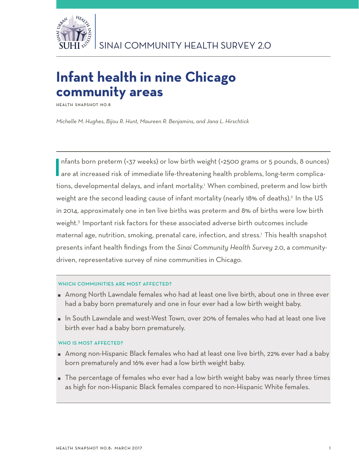

# **Infant health in nine Chicago community areas**

**Health Snapshot No.8**

*Michelle M. Hughes, Bijou R. Hunt, Maureen R. Benjamins, and Jana L. Hirschtick*

Infants born preterm (<37 weeks) or low birth weight (<2500 grams or 5 pounds, 8 ounces<br>are at increased risk of immediate life-threatening health problems, long-term complicanfants born preterm (<37 weeks) or low birth weight (<2500 grams or 5 pounds, 8 ounces) tions, developmental delays, and infant mortality.1 When combined, preterm and low birth weight are the second leading cause of infant mortality (nearly 18% of deaths).<sup>2</sup> In the US in 2014, approximately one in ten live births was preterm and 8% of births were low birth weight.<sup>3</sup> Important risk factors for these associated adverse birth outcomes include maternal age, nutrition, smoking, prenatal care, infection, and stress.1 This health snapshot presents infant health findings from the *Sinai Community Health Survey 2.0*, a communitydriven, representative survey of nine communities in Chicago.

# WHICH COMMUNITIES ARE MOST AFFECTED?

- Among North Lawndale females who had at least one live birth, about one in three ever had a baby born prematurely and one in four ever had a low birth weight baby.
- In South Lawndale and west-West Town, over 20% of females who had at least one live birth ever had a baby born prematurely.

# WHO IS MOST AFFECTED?

- Among non-Hispanic Black females who had at least one live birth, 22% ever had a baby born prematurely and 16% ever had a low birth weight baby.
- The percentage of females who ever had a low birth weight baby was nearly three times as high for non-Hispanic Black females compared to non-Hispanic White females.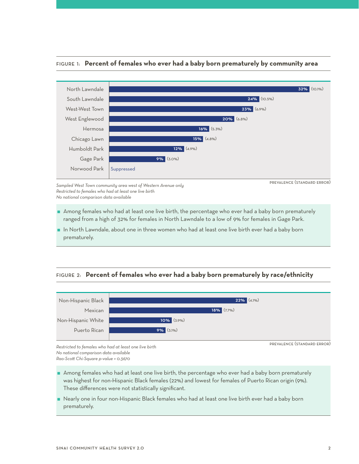

## Figure 1: **Percent of females who ever had a baby born prematurely by community area**

*Sampled West Town community area west of Western Avenue only Restricted to females who had at least one live birth No national comparison data available*

- Among females who had at least one live birth, the percentage who ever had a baby born prematurely ranged from a high of 32% for females in North Lawndale to a low of 9% for females in Gage Park.
- In North Lawndale, about one in three women who had at least one live birth ever had a baby born prematurely.

# Figure 2: **Percent of females who ever had a baby born prematurely by race/ethnicity**



*Restricted to females who had at least one live birth No national comparison data available Rao-Scott Chi-Square p-value = 0.3670*

Among females who had at least one live birth, the percentage who ever had a baby born prematurely was highest for non-Hispanic Black females (22%) and lowest for females of Puerto Rican origin (9%). These differences were not statistically significant.

 Nearly one in four non-Hispanic Black females who had at least one live birth ever had a baby born prematurely.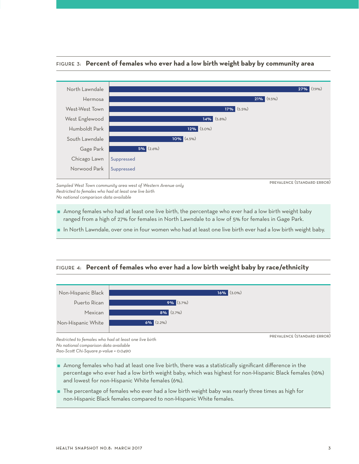

## Figure 3: **Percent of females who ever had a low birth weight baby by community area**

*Sampled West Town community area west of Western Avenue only Restricted to females who had at least one live birth No national comparison data available*

prevalence (standard error)

 Among females who had at least one live birth, the percentage who ever had a low birth weight baby ranged from a high of 27% for females in North Lawndale to a low of 5% for females in Gage Park.

In North Lawndale, over one in four women who had at least one live birth ever had a low birth weight baby.

# Figure 4: **Percent of females who ever had a low birth weight baby by race/ethnicity**



*Restricted to females who had at least one live birth No national comparison data available Rao-Scott Chi-Square p-value = 0.0490*

- Among females who had at least one live birth, there was a statistically significant difference in the percentage who ever had a low birth weight baby, which was highest for non-Hispanic Black females (16%) and lowest for non-Hispanic White females (6%).
- $\;\;\;\;\;$  The percentage of females who ever had a low birth weight baby was nearly three times as high for non-Hispanic Black females compared to non-Hispanic White females.